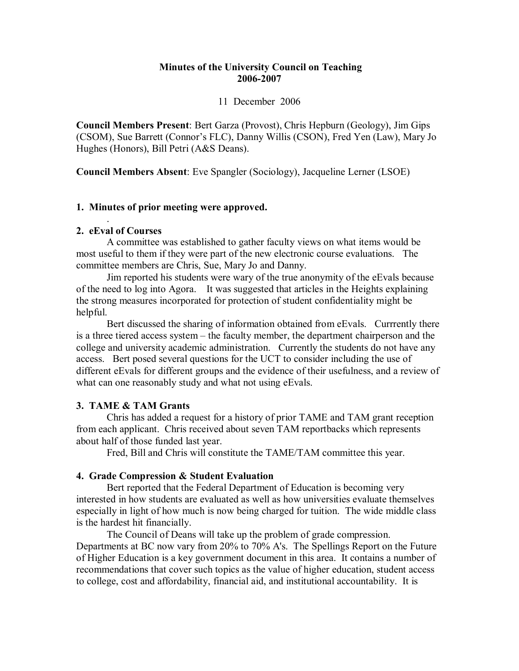# **Minutes of the University Council on Teaching 20062007**

### 11 December 2006

**Council Members Present**: Bert Garza (Provost), Chris Hepburn (Geology), Jim Gips (CSOM), Sue Barrett (Connor's FLC), Danny Willis (CSON), Fred Yen (Law), Mary Jo Hughes (Honors), Bill Petri (A&S Deans).

**Council Members Absent**: Eve Spangler (Sociology), Jacqueline Lerner (LSOE)

# **1. Minutes of prior meeting were approved.**

## **2. eEval of Courses**

.

A committee was established to gather faculty views on what items would be most useful to them if they were part of the new electronic course evaluations. The committee members are Chris, Sue, Mary Jo and Danny.

Jim reported his students were wary of the true anonymity of the eEvals because of the need to log into Agora. It was suggested that articles in the Heights explaining the strong measures incorporated for protection of student confidentiality might be helpful.<br>Bert discussed the sharing of information obtained from eEvals. Currrently there

is a three tiered access system – the faculty member, the department chairperson and the college and university academic administration. Currently the students do not have any access. Bert posed several questions for the UCT to consider including the use of different eEvals for different groups and the evidence of their usefulness, and a review of what can one reasonably study and what not using eEvals.

#### **3. TAME & TAM Grants**

Chris has added a request for a history of prior TAME and TAM grant reception from each applicant. Chris received about seven TAM reportbacks which represents about half of those funded last year.

Fred, Bill and Chris will constitute the TAME/TAM committee this year.

# **4. Grade Compression & Student Evaluation**

Bert reported that the Federal Department of Education is becoming very interested in how students are evaluated as well as how universities evaluate themselves especially in light of how much is now being charged for tuition. The wide middle class is the hardest hit financially.

The Council of Deans will take up the problem of grade compression. Departments at BC now vary from 20% to 70% A's. The Spellings Report on the Future of Higher Education is a key government document in this area. It contains a number of recommendations that cover such topics as the value of higher education, student access to college, cost and affordability, financial aid, and institutional accountability. It is